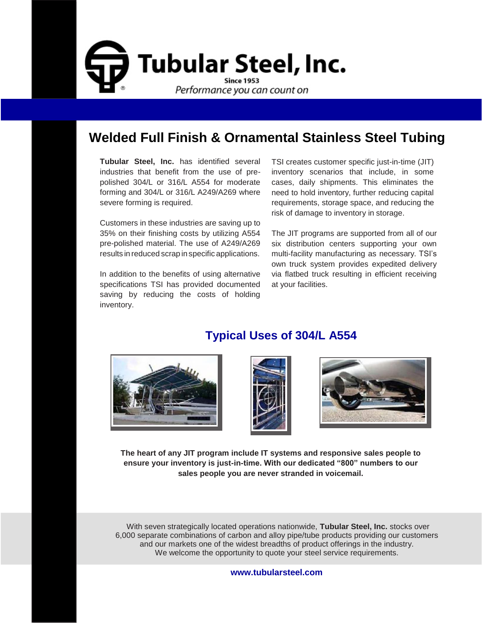

## **Welded Full Finish & Ornamental Stainless Steel Tubing**

**Tubular Steel, Inc.** has identified several industries that benefit from the use of prepolished 304/L or 316/L A554 for moderate forming and 304/L or 316/L A249/A269 where severe forming is required.

Customers in these industries are saving up to 35% on their finishing costs by utilizing A554 pre-polished material. The use of A249/A269 results in reduced scrap in specific applications.

In addition to the benefits of using alternative specifications TSI has provided documented saving by reducing the costs of holding inventory.

TSI creates customer specific just-in-time (JIT) inventory scenarios that include, in some cases, daily shipments. This eliminates the need to hold inventory, further reducing capital requirements, storage space, and reducing the risk of damage to inventory in storage.

The JIT programs are supported from all of our six distribution centers supporting your own multi-facility manufacturing as necessary. TSI's own truck system provides expedited delivery via flatbed truck resulting in efficient receiving at your facilities.



## **Typical Uses of 304/L A554**





**The heart of any JIT program include IT systems and responsive sales people to ensure your inventory is just-in-time. With our dedicated "800" numbers to our sales people you are never stranded in voicemail.**

With seven strategically located operations nationwide, **Tubular Steel, Inc.** stocks over 6,000 separate combinations of carbon and alloy pipe/tube products providing our customers and our markets one of the widest breadths of product offerings in the industry. We welcome the opportunity to quote your steel service requirements.

#### **[www.tubularsteel.com](http://www.tubularsteel.com/)**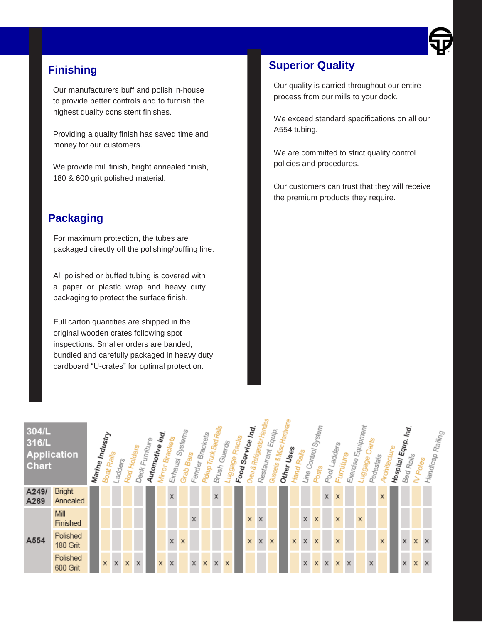

### **Finishing**

Our manufacturers buff and polish in-house to provide better controls and to furnish the highest quality consistent finishes.

Providing a quality finish has saved time and money for our customers.

We provide mill finish, bright annealed finish, 180 & 600 grit polished material.

### **Packaging**

For maximum protection, the tubes are packaged directly off the polishing/buffing line.

All polished or buffed tubing is covered with a paper or plastic wrap and heavy duty packaging to protect the surface finish.

Full carton quantities are shipped in the original wooden crates following spot inspections. Smaller orders are banded, bundled and carefully packaged in heavy duty cardboard "U-crates" for optimal protection.

### **Superior Quality**

Our quality is carried throughout our entire process from our mills to your dock.

We exceed standard specifications on all our A554 tubing.

We are committed to strict quality control policies and procedures.

Our customers can trust that they will receive the premium products they require.